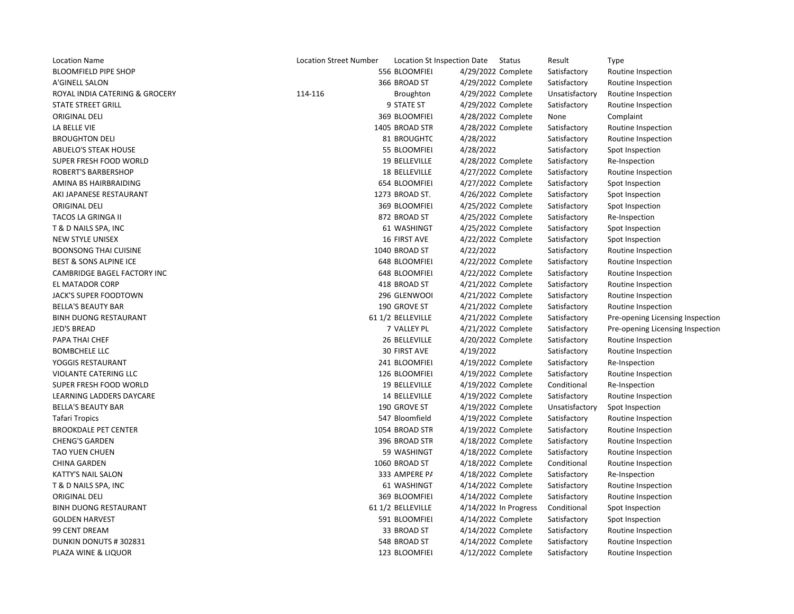| <b>Location Name</b>              | <b>Location Street Number</b> | Location St Inspection Date |                    | Status                | Result         | <b>Type</b>                      |
|-----------------------------------|-------------------------------|-----------------------------|--------------------|-----------------------|----------------|----------------------------------|
| <b>BLOOMFIELD PIPE SHOP</b>       |                               | 556 BLOOMFIEI               | 4/29/2022 Complete |                       | Satisfactory   | Routine Inspection               |
| A'GINELL SALON                    |                               | 366 BROAD ST                | 4/29/2022 Complete |                       | Satisfactory   | Routine Inspection               |
| ROYAL INDIA CATERING & GROCERY    | 114-116                       | Broughton                   | 4/29/2022 Complete |                       | Unsatisfactory | Routine Inspection               |
| <b>STATE STREET GRILL</b>         |                               | 9 STATE ST                  | 4/29/2022 Complete |                       | Satisfactory   | Routine Inspection               |
| <b>ORIGINAL DELI</b>              |                               | 369 BLOOMFIEI               | 4/28/2022 Complete |                       | None           | Complaint                        |
| LA BELLE VIE                      |                               | 1405 BROAD STR              | 4/28/2022 Complete |                       | Satisfactory   | Routine Inspection               |
| <b>BROUGHTON DELI</b>             |                               | 81 BROUGHTC                 | 4/28/2022          |                       | Satisfactory   | Routine Inspection               |
| <b>ABUELO'S STEAK HOUSE</b>       |                               | 55 BLOOMFIEI                | 4/28/2022          |                       | Satisfactory   | Spot Inspection                  |
| SUPER FRESH FOOD WORLD            |                               | 19 BELLEVILLE               | 4/28/2022 Complete |                       | Satisfactory   | Re-Inspection                    |
| <b>ROBERT'S BARBERSHOP</b>        |                               | 18 BELLEVILLE               | 4/27/2022 Complete |                       | Satisfactory   | Routine Inspection               |
| AMINA BS HAIRBRAIDING             |                               | 654 BLOOMFIEI               | 4/27/2022 Complete |                       | Satisfactory   | Spot Inspection                  |
| AKI JAPANESE RESTAURANT           |                               | 1273 BROAD ST.              | 4/26/2022 Complete |                       | Satisfactory   | Spot Inspection                  |
| <b>ORIGINAL DELI</b>              |                               | 369 BLOOMFIEI               | 4/25/2022 Complete |                       | Satisfactory   | Spot Inspection                  |
| TACOS LA GRINGA II                |                               | 872 BROAD ST                | 4/25/2022 Complete |                       | Satisfactory   | Re-Inspection                    |
| T & D NAILS SPA, INC              |                               | 61 WASHINGT                 | 4/25/2022 Complete |                       | Satisfactory   | Spot Inspection                  |
| NEW STYLE UNISEX                  |                               | 16 FIRST AVE                | 4/22/2022 Complete |                       | Satisfactory   | Spot Inspection                  |
| <b>BOONSONG THAI CUISINE</b>      |                               | 1040 BROAD ST               | 4/22/2022          |                       | Satisfactory   | Routine Inspection               |
| <b>BEST &amp; SONS ALPINE ICE</b> |                               | 648 BLOOMFIEI               | 4/22/2022 Complete |                       | Satisfactory   | Routine Inspection               |
| CAMBRIDGE BAGEL FACTORY INC       |                               | 648 BLOOMFIEI               | 4/22/2022 Complete |                       | Satisfactory   | Routine Inspection               |
| EL MATADOR CORP                   |                               | 418 BROAD ST                | 4/21/2022 Complete |                       | Satisfactory   | Routine Inspection               |
| JACK'S SUPER FOODTOWN             |                               | 296 GLENWOOI                | 4/21/2022 Complete |                       | Satisfactory   | Routine Inspection               |
| <b>BELLA'S BEAUTY BAR</b>         |                               | 190 GROVE ST                | 4/21/2022 Complete |                       | Satisfactory   | Routine Inspection               |
| <b>BINH DUONG RESTAURANT</b>      |                               | 61 1/2 BELLEVILLE           | 4/21/2022 Complete |                       | Satisfactory   | Pre-opening Licensing Inspection |
| <b>JED'S BREAD</b>                |                               | 7 VALLEY PL                 | 4/21/2022 Complete |                       | Satisfactory   | Pre-opening Licensing Inspection |
| PAPA THAI CHEF                    |                               | 26 BELLEVILLE               | 4/20/2022 Complete |                       | Satisfactory   | Routine Inspection               |
| <b>BOMBCHELE LLC</b>              |                               | 30 FIRST AVE                | 4/19/2022          |                       | Satisfactory   | Routine Inspection               |
| YOGGIS RESTAURANT                 |                               | 241 BLOOMFIEI               | 4/19/2022 Complete |                       | Satisfactory   | Re-Inspection                    |
| VIOLANTE CATERING LLC             |                               | 126 BLOOMFIEI               | 4/19/2022 Complete |                       | Satisfactory   | Routine Inspection               |
| SUPER FRESH FOOD WORLD            |                               | 19 BELLEVILLE               | 4/19/2022 Complete |                       | Conditional    | Re-Inspection                    |
| LEARNING LADDERS DAYCARE          |                               | 14 BELLEVILLE               | 4/19/2022 Complete |                       | Satisfactory   | Routine Inspection               |
| <b>BELLA'S BEAUTY BAR</b>         |                               | 190 GROVE ST                | 4/19/2022 Complete |                       | Unsatisfactory | Spot Inspection                  |
| Tafari Tropics                    |                               | 547 Bloomfield              | 4/19/2022 Complete |                       | Satisfactory   | Routine Inspection               |
| <b>BROOKDALE PET CENTER</b>       |                               | 1054 BROAD STR              | 4/19/2022 Complete |                       | Satisfactory   | Routine Inspection               |
| <b>CHENG'S GARDEN</b>             |                               | 396 BROAD STF               | 4/18/2022 Complete |                       | Satisfactory   | Routine Inspection               |
| <b>TAO YUEN CHUEN</b>             |                               | 59 WASHINGT                 | 4/18/2022 Complete |                       | Satisfactory   | Routine Inspection               |
| <b>CHINA GARDEN</b>               |                               | 1060 BROAD ST               | 4/18/2022 Complete |                       | Conditional    | Routine Inspection               |
| <b>KATTY'S NAIL SALON</b>         |                               | 333 AMPERE P/               | 4/18/2022 Complete |                       | Satisfactory   | Re-Inspection                    |
| T & D NAILS SPA, INC              |                               | 61 WASHINGT                 | 4/14/2022 Complete |                       | Satisfactory   | Routine Inspection               |
| <b>ORIGINAL DELI</b>              |                               | 369 BLOOMFIEI               | 4/14/2022 Complete |                       | Satisfactory   | Routine Inspection               |
| <b>BINH DUONG RESTAURANT</b>      |                               | 61 1/2 BELLEVILLE           |                    | 4/14/2022 In Progress | Conditional    | Spot Inspection                  |
| <b>GOLDEN HARVEST</b>             |                               | 591 BLOOMFIEI               | 4/14/2022 Complete |                       | Satisfactory   | Spot Inspection                  |
| 99 CENT DREAM                     |                               | 33 BROAD ST                 | 4/14/2022 Complete |                       | Satisfactory   | Routine Inspection               |
| DUNKIN DONUTS #302831             |                               | 548 BROAD ST                | 4/14/2022 Complete |                       | Satisfactory   | Routine Inspection               |
| PLAZA WINE & LIQUOR               |                               | 123 BLOOMFIEI               | 4/12/2022 Complete |                       | Satisfactory   | Routine Inspection               |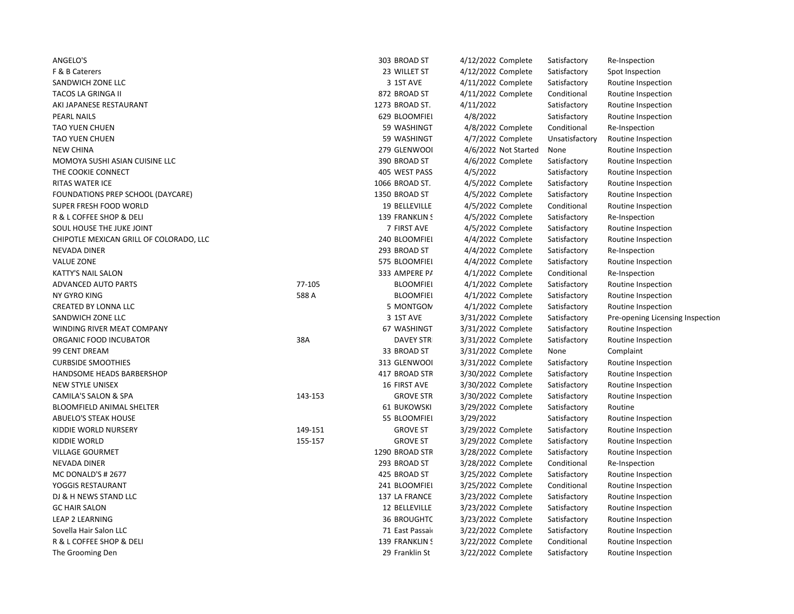| ANGELO'S                                |         | 303 BROAD ST       | 4/12/2022 Complete   | Satisfactory   | Re-Inspection                    |
|-----------------------------------------|---------|--------------------|----------------------|----------------|----------------------------------|
| F & B Caterers                          |         | 23 WILLET ST       | 4/12/2022 Complete   | Satisfactory   | Spot Inspection                  |
| SANDWICH ZONE LLC                       |         | 3 1ST AVE          | 4/11/2022 Complete   | Satisfactory   | Routine Inspection               |
| TACOS LA GRINGA II                      |         | 872 BROAD ST       | 4/11/2022 Complete   | Conditional    | Routine Inspection               |
| AKI JAPANESE RESTAURANT                 |         | 1273 BROAD ST.     | 4/11/2022            | Satisfactory   | Routine Inspection               |
| <b>PEARL NAILS</b>                      |         | 629 BLOOMFIEI      | 4/8/2022             | Satisfactory   | Routine Inspection               |
| <b>TAO YUEN CHUEN</b>                   |         | 59 WASHINGT        | 4/8/2022 Complete    | Conditional    | Re-Inspection                    |
| <b>TAO YUEN CHUEN</b>                   |         | 59 WASHINGT        | 4/7/2022 Complete    | Unsatisfactory | Routine Inspection               |
| <b>NEW CHINA</b>                        |         | 279 GLENWOOI       | 4/6/2022 Not Started | None           | Routine Inspection               |
| MOMOYA SUSHI ASIAN CUISINE LLC          |         | 390 BROAD ST       | 4/6/2022 Complete    | Satisfactory   | Routine Inspection               |
| THE COOKIE CONNECT                      |         | 405 WEST PASS      | 4/5/2022             | Satisfactory   | Routine Inspection               |
| <b>RITAS WATER ICE</b>                  |         | 1066 BROAD ST.     | 4/5/2022 Complete    | Satisfactory   | Routine Inspection               |
| FOUNDATIONS PREP SCHOOL (DAYCARE)       |         | 1350 BROAD ST      | 4/5/2022 Complete    | Satisfactory   | Routine Inspection               |
| SUPER FRESH FOOD WORLD                  |         | 19 BELLEVILLE      | 4/5/2022 Complete    | Conditional    | Routine Inspection               |
| R & L COFFEE SHOP & DELI                |         | 139 FRANKLIN !     | 4/5/2022 Complete    | Satisfactory   | Re-Inspection                    |
| SOUL HOUSE THE JUKE JOINT               |         | 7 FIRST AVE        | 4/5/2022 Complete    | Satisfactory   | Routine Inspection               |
| CHIPOTLE MEXICAN GRILL OF COLORADO, LLC |         | 240 BLOOMFIEI      | 4/4/2022 Complete    | Satisfactory   | Routine Inspection               |
| NEVADA DINER                            |         | 293 BROAD ST       | 4/4/2022 Complete    | Satisfactory   | Re-Inspection                    |
| <b>VALUE ZONE</b>                       |         | 575 BLOOMFIEI      | 4/4/2022 Complete    | Satisfactory   | Routine Inspection               |
| <b>KATTY'S NAIL SALON</b>               |         | 333 AMPERE P/      | 4/1/2022 Complete    | Conditional    | Re-Inspection                    |
| ADVANCED AUTO PARTS                     | 77-105  | <b>BLOOMFIEI</b>   | 4/1/2022 Complete    | Satisfactory   | Routine Inspection               |
| NY GYRO KING                            | 588 A   | <b>BLOOMFIEI</b>   | 4/1/2022 Complete    | Satisfactory   | Routine Inspection               |
| <b>CREATED BY LONNA LLC</b>             |         | 5 MONTGON          | 4/1/2022 Complete    | Satisfactory   | Routine Inspection               |
| SANDWICH ZONE LLC                       |         | 3 1ST AVE          | 3/31/2022 Complete   | Satisfactory   | Pre-opening Licensing Inspection |
| WINDING RIVER MEAT COMPANY              |         | 67 WASHINGT        | 3/31/2022 Complete   | Satisfactory   | Routine Inspection               |
| ORGANIC FOOD INCUBATOR                  | 38A     | <b>DAVEY STR</b>   | 3/31/2022 Complete   | Satisfactory   | Routine Inspection               |
| 99 CENT DREAM                           |         | 33 BROAD ST        | 3/31/2022 Complete   | None           | Complaint                        |
| <b>CURBSIDE SMOOTHIES</b>               |         | 313 GLENWOOI       | 3/31/2022 Complete   | Satisfactory   | Routine Inspection               |
| HANDSOME HEADS BARBERSHOP               |         | 417 BROAD STR      | 3/30/2022 Complete   | Satisfactory   | Routine Inspection               |
| <b>NEW STYLE UNISEX</b>                 |         | 16 FIRST AVE       | 3/30/2022 Complete   | Satisfactory   | Routine Inspection               |
| CAMILA'S SALON & SPA                    | 143-153 | <b>GROVE STR</b>   | 3/30/2022 Complete   | Satisfactory   | Routine Inspection               |
| <b>BLOOMFIELD ANIMAL SHELTER</b>        |         | <b>61 BUKOWSKI</b> | 3/29/2022 Complete   | Satisfactory   | Routine                          |
| ABUELO'S STEAK HOUSE                    |         | 55 BLOOMFIEI       | 3/29/2022            | Satisfactory   | Routine Inspection               |
| KIDDIE WORLD NURSERY                    | 149-151 | <b>GROVE ST</b>    | 3/29/2022 Complete   | Satisfactory   | Routine Inspection               |
| <b>KIDDIE WORLD</b>                     | 155-157 | <b>GROVE ST</b>    | 3/29/2022 Complete   | Satisfactory   | Routine Inspection               |
| <b>VILLAGE GOURMET</b>                  |         | 1290 BROAD STF     | 3/28/2022 Complete   | Satisfactory   | Routine Inspection               |
| <b>NEVADA DINER</b>                     |         | 293 BROAD ST       | 3/28/2022 Complete   | Conditional    | Re-Inspection                    |
| MC DONALD'S # 2677                      |         | 425 BROAD ST       | 3/25/2022 Complete   | Satisfactory   | Routine Inspection               |
| YOGGIS RESTAURANT                       |         | 241 BLOOMFIEI      | 3/25/2022 Complete   | Conditional    | Routine Inspection               |
| DJ & H NEWS STAND LLC                   |         | 137 LA FRANCE      | 3/23/2022 Complete   | Satisfactory   | Routine Inspection               |
| <b>GC HAIR SALON</b>                    |         | 12 BELLEVILLE      | 3/23/2022 Complete   | Satisfactory   | Routine Inspection               |
| <b>LEAP 2 LEARNING</b>                  |         | 36 BROUGHTC        | 3/23/2022 Complete   | Satisfactory   | Routine Inspection               |
| Sovella Hair Salon LLC                  |         | 71 East Passai     | 3/22/2022 Complete   | Satisfactory   | Routine Inspection               |
| R & L COFFEE SHOP & DELI                |         | 139 FRANKLIN !     | 3/22/2022 Complete   | Conditional    | Routine Inspection               |
| The Grooming Den                        |         | 29 Franklin St     | 3/22/2022 Complete   | Satisfactory   | Routine Inspection               |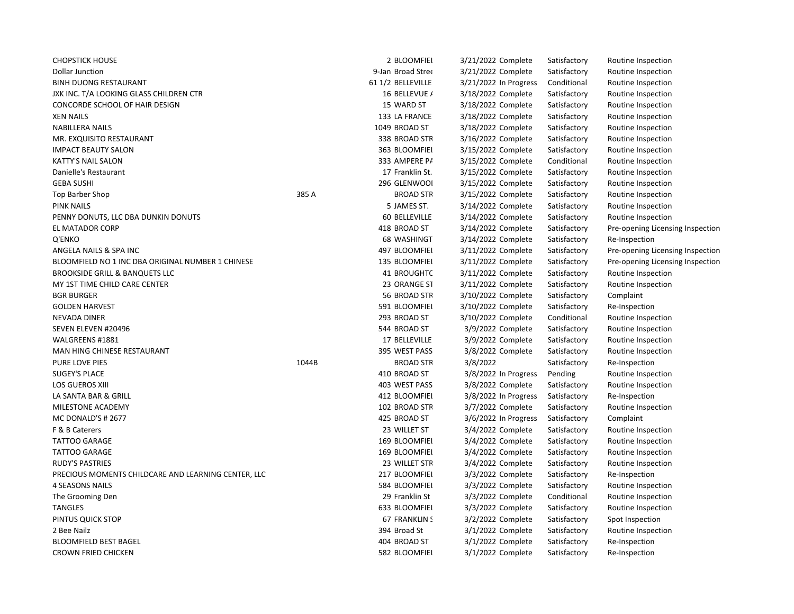| <b>CHOPSTICK HOUSE</b>                              |       | 2 BLOOMFIEI       | 3/21/2022 Complete     | Satisfactory | Routine Inspection               |
|-----------------------------------------------------|-------|-------------------|------------------------|--------------|----------------------------------|
| <b>Dollar Junction</b>                              |       | 9-Jan Broad Stree | 3/21/2022 Complete     | Satisfactory | Routine Inspection               |
| <b>BINH DUONG RESTAURANT</b>                        |       | 61 1/2 BELLEVILLE | 3/21/2022 In Progress  | Conditional  | Routine Inspection               |
| JXK INC. T/A LOOKING GLASS CHILDREN CTR             |       | 16 BELLEVUE /     | 3/18/2022 Complete     | Satisfactory | Routine Inspection               |
| CONCORDE SCHOOL OF HAIR DESIGN                      |       | 15 WARD ST        | 3/18/2022 Complete     | Satisfactory | Routine Inspection               |
| <b>XEN NAILS</b>                                    |       | 133 LA FRANCE     | 3/18/2022 Complete     | Satisfactory | Routine Inspection               |
| <b>NABILLERA NAILS</b>                              |       | 1049 BROAD ST     | 3/18/2022 Complete     | Satisfactory | Routine Inspection               |
| MR. EXQUISITO RESTAURANT                            |       | 338 BROAD STF     | 3/16/2022 Complete     | Satisfactory | Routine Inspection               |
| <b>IMPACT BEAUTY SALON</b>                          |       | 363 BLOOMFIEI     | 3/15/2022 Complete     | Satisfactory | Routine Inspection               |
| <b>KATTY'S NAIL SALON</b>                           |       | 333 AMPERE P/     | 3/15/2022 Complete     | Conditional  | Routine Inspection               |
| Danielle's Restaurant                               |       | 17 Franklin St.   | 3/15/2022 Complete     | Satisfactory | Routine Inspection               |
| <b>GEBA SUSHI</b>                                   |       | 296 GLENWOOI      | 3/15/2022 Complete     | Satisfactory | Routine Inspection               |
| Top Barber Shop                                     | 385 A | <b>BROAD STR</b>  | 3/15/2022 Complete     | Satisfactory | Routine Inspection               |
| <b>PINK NAILS</b>                                   |       | 5 JAMES ST.       | 3/14/2022 Complete     | Satisfactory | Routine Inspection               |
| PENNY DONUTS, LLC DBA DUNKIN DONUTS                 |       | 60 BELLEVILLE     | 3/14/2022 Complete     | Satisfactory | Routine Inspection               |
| EL MATADOR CORP                                     |       | 418 BROAD ST      | 3/14/2022 Complete     | Satisfactory | Pre-opening Licensing Inspection |
| Q'ENKO                                              |       | 68 WASHINGT       | 3/14/2022 Complete     | Satisfactory | Re-Inspection                    |
| ANGELA NAILS & SPA INC                              |       | 497 BLOOMFIEI     | 3/11/2022 Complete     | Satisfactory | Pre-opening Licensing Inspection |
| BLOOMFIELD NO 1 INC DBA ORIGINAL NUMBER 1 CHINESE   |       | 135 BLOOMFIEI     | 3/11/2022 Complete     | Satisfactory | Pre-opening Licensing Inspection |
| <b>BROOKSIDE GRILL &amp; BANQUETS LLC</b>           |       | 41 BROUGHTC       | 3/11/2022 Complete     | Satisfactory | Routine Inspection               |
| MY 1ST TIME CHILD CARE CENTER                       |       | 23 ORANGE ST      | 3/11/2022 Complete     | Satisfactory | Routine Inspection               |
| <b>BGR BURGER</b>                                   |       | 56 BROAD STR      | 3/10/2022 Complete     | Satisfactory | Complaint                        |
| <b>GOLDEN HARVEST</b>                               |       | 591 BLOOMFIEI     | 3/10/2022 Complete     | Satisfactory | Re-Inspection                    |
| <b>NEVADA DINER</b>                                 |       | 293 BROAD ST      | 3/10/2022 Complete     | Conditional  | Routine Inspection               |
| SEVEN ELEVEN #20496                                 |       | 544 BROAD ST      | 3/9/2022 Complete      | Satisfactory | Routine Inspection               |
| WALGREENS #1881                                     |       | 17 BELLEVILLE     | 3/9/2022 Complete      | Satisfactory | Routine Inspection               |
| MAN HING CHINESE RESTAURANT                         |       | 395 WEST PASS     | 3/8/2022 Complete      | Satisfactory | Routine Inspection               |
| PURE LOVE PIES                                      | 1044B | <b>BROAD STR</b>  | 3/8/2022               | Satisfactory | Re-Inspection                    |
| <b>SUGEY'S PLACE</b>                                |       | 410 BROAD ST      | 3/8/2022 In Progress   | Pending      | Routine Inspection               |
| <b>LOS GUEROS XIII</b>                              |       | 403 WEST PASS     | 3/8/2022 Complete      | Satisfactory | Routine Inspection               |
| LA SANTA BAR & GRILL                                |       | 412 BLOOMFIEI     | $3/8/2022$ In Progress | Satisfactory | Re-Inspection                    |
| MILESTONE ACADEMY                                   |       | 102 BROAD STF     | 3/7/2022 Complete      | Satisfactory | Routine Inspection               |
| MC DONALD'S # 2677                                  |       | 425 BROAD ST      | $3/6/2022$ In Progress | Satisfactory | Complaint                        |
| F & B Caterers                                      |       | 23 WILLET ST      | 3/4/2022 Complete      | Satisfactory | Routine Inspection               |
| <b>TATTOO GARAGE</b>                                |       | 169 BLOOMFIEI     | 3/4/2022 Complete      | Satisfactory | Routine Inspection               |
| <b>TATTOO GARAGE</b>                                |       | 169 BLOOMFIEI     | 3/4/2022 Complete      | Satisfactory | Routine Inspection               |
| <b>RUDY'S PASTRIES</b>                              |       | 23 WILLET STR     | 3/4/2022 Complete      | Satisfactory | Routine Inspection               |
| PRECIOUS MOMENTS CHILDCARE AND LEARNING CENTER, LLC |       | 217 BLOOMFIEI     | 3/3/2022 Complete      | Satisfactory | Re-Inspection                    |
| <b>4 SEASONS NAILS</b>                              |       | 584 BLOOMFIEI     | 3/3/2022 Complete      | Satisfactory | Routine Inspection               |
| The Grooming Den                                    |       | 29 Franklin St    | 3/3/2022 Complete      | Conditional  | Routine Inspection               |
| <b>TANGLES</b>                                      |       | 633 BLOOMFIEI     | 3/3/2022 Complete      | Satisfactory | Routine Inspection               |
| PINTUS QUICK STOP                                   |       | 67 FRANKLIN !     | 3/2/2022 Complete      | Satisfactory | Spot Inspection                  |
| 2 Bee Nailz                                         |       | 394 Broad St      | 3/1/2022 Complete      | Satisfactory | Routine Inspection               |
| <b>BLOOMFIELD BEST BAGEL</b>                        |       | 404 BROAD ST      | 3/1/2022 Complete      | Satisfactory | Re-Inspection                    |
| <b>CROWN FRIED CHICKEN</b>                          |       | 582 BLOOMFIEI     | 3/1/2022 Complete      | Satisfactory | Re-Inspection                    |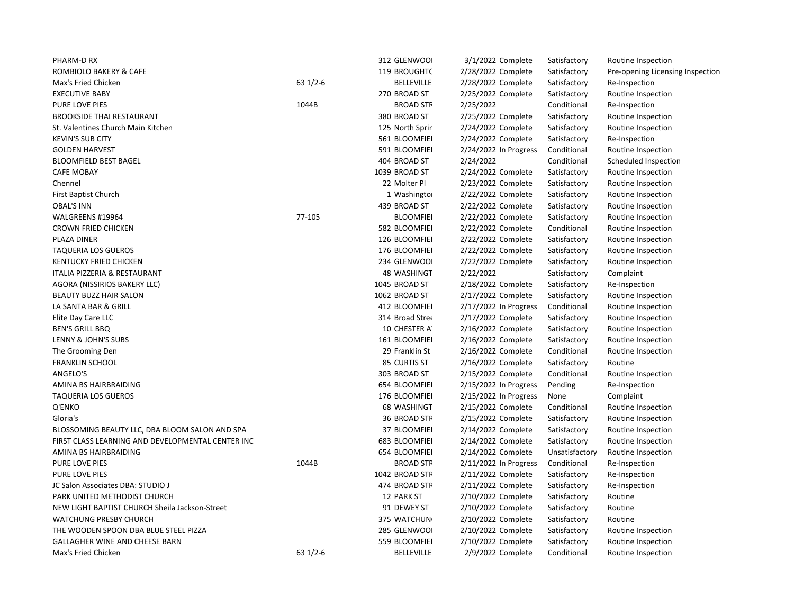| PHARM-D RX                                        |           | 312 GLENWOOI       | 3/1/2022 Complete       | Satisfactory   | Routine Inspection               |
|---------------------------------------------------|-----------|--------------------|-------------------------|----------------|----------------------------------|
| ROMBIOLO BAKERY & CAFE                            |           | 119 BROUGHTC       | 2/28/2022 Complete      | Satisfactory   | Pre-opening Licensing Inspection |
| Max's Fried Chicken                               | $631/2-6$ | <b>BELLEVILLE</b>  | 2/28/2022 Complete      | Satisfactory   | Re-Inspection                    |
| <b>EXECUTIVE BABY</b>                             |           | 270 BROAD ST       | 2/25/2022 Complete      | Satisfactory   | Routine Inspection               |
| <b>PURE LOVE PIES</b>                             | 1044B     | <b>BROAD STR</b>   | 2/25/2022               | Conditional    | Re-Inspection                    |
| <b>BROOKSIDE THAI RESTAURANT</b>                  |           | 380 BROAD ST       | 2/25/2022 Complete      | Satisfactory   | Routine Inspection               |
| St. Valentines Church Main Kitchen                |           | 125 North Sprir    | 2/24/2022 Complete      | Satisfactory   | Routine Inspection               |
| <b>KEVIN'S SUB CITY</b>                           |           | 561 BLOOMFIEI      | 2/24/2022 Complete      | Satisfactory   | Re-Inspection                    |
| <b>GOLDEN HARVEST</b>                             |           | 591 BLOOMFIEI      | $2/24/2022$ In Progress | Conditional    | Routine Inspection               |
| <b>BLOOMFIELD BEST BAGEL</b>                      |           | 404 BROAD ST       | 2/24/2022               | Conditional    | Scheduled Inspection             |
| <b>CAFE MOBAY</b>                                 |           | 1039 BROAD ST      | 2/24/2022 Complete      | Satisfactory   | Routine Inspection               |
| Chennel                                           |           | 22 Molter Pl       | 2/23/2022 Complete      | Satisfactory   | Routine Inspection               |
| <b>First Baptist Church</b>                       |           | 1 Washingtor       | 2/22/2022 Complete      | Satisfactory   | Routine Inspection               |
| <b>OBAL'S INN</b>                                 |           | 439 BROAD ST       | 2/22/2022 Complete      | Satisfactory   | Routine Inspection               |
| WALGREENS #19964                                  | 77-105    | <b>BLOOMFIEI</b>   | 2/22/2022 Complete      | Satisfactory   | Routine Inspection               |
| <b>CROWN FRIED CHICKEN</b>                        |           | 582 BLOOMFIEI      | 2/22/2022 Complete      | Conditional    | Routine Inspection               |
| PLAZA DINER                                       |           | 126 BLOOMFIEI      | 2/22/2022 Complete      | Satisfactory   | Routine Inspection               |
| <b>TAQUERIA LOS GUEROS</b>                        |           | 176 BLOOMFIEI      | 2/22/2022 Complete      | Satisfactory   | Routine Inspection               |
| <b>KENTUCKY FRIED CHICKEN</b>                     |           | 234 GLENWOOI       | 2/22/2022 Complete      | Satisfactory   | Routine Inspection               |
| ITALIA PIZZERIA & RESTAURANT                      |           | <b>48 WASHINGT</b> | 2/22/2022               | Satisfactory   | Complaint                        |
| AGORA (NISSIRIOS BAKERY LLC)                      |           | 1045 BROAD ST      | 2/18/2022 Complete      | Satisfactory   | Re-Inspection                    |
| <b>BEAUTY BUZZ HAIR SALON</b>                     |           | 1062 BROAD ST      | 2/17/2022 Complete      | Satisfactory   | Routine Inspection               |
| LA SANTA BAR & GRILL                              |           | 412 BLOOMFIEI      | 2/17/2022 In Progress   | Conditional    | Routine Inspection               |
| Elite Day Care LLC                                |           | 314 Broad Stree    | 2/17/2022 Complete      | Satisfactory   | Routine Inspection               |
| <b>BEN'S GRILL BBQ</b>                            |           | 10 CHESTER AT      | 2/16/2022 Complete      | Satisfactory   | Routine Inspection               |
| LENNY & JOHN'S SUBS                               |           | 161 BLOOMFIEI      | 2/16/2022 Complete      | Satisfactory   | Routine Inspection               |
| The Grooming Den                                  |           | 29 Franklin St     | 2/16/2022 Complete      | Conditional    | Routine Inspection               |
| <b>FRANKLIN SCHOOL</b>                            |           | 85 CURTIS ST       | 2/16/2022 Complete      | Satisfactory   | Routine                          |
| ANGELO'S                                          |           | 303 BROAD ST       | 2/15/2022 Complete      | Conditional    | Routine Inspection               |
| AMINA BS HAIRBRAIDING                             |           | 654 BLOOMFIEI      | 2/15/2022 In Progress   | Pending        | Re-Inspection                    |
| <b>TAQUERIA LOS GUEROS</b>                        |           | 176 BLOOMFIEI      | 2/15/2022 In Progress   | None           | Complaint                        |
| Q'ENKO                                            |           | 68 WASHINGT        | 2/15/2022 Complete      | Conditional    | Routine Inspection               |
| Gloria's                                          |           | 36 BROAD STF       | 2/15/2022 Complete      | Satisfactory   | Routine Inspection               |
| BLOSSOMING BEAUTY LLC, DBA BLOOM SALON AND SPA    |           | 37 BLOOMFIEI       | 2/14/2022 Complete      | Satisfactory   | Routine Inspection               |
| FIRST CLASS LEARNING AND DEVELOPMENTAL CENTER INC |           | 683 BLOOMFIEI      | 2/14/2022 Complete      | Satisfactory   | Routine Inspection               |
| AMINA BS HAIRBRAIDING                             |           | 654 BLOOMFIEI      | 2/14/2022 Complete      | Unsatisfactory | Routine Inspection               |
| <b>PURE LOVE PIES</b>                             | 1044B     | <b>BROAD STR</b>   | 2/11/2022 In Progress   | Conditional    | Re-Inspection                    |
| <b>PURE LOVE PIES</b>                             |           | 1042 BROAD STR     | 2/11/2022 Complete      | Satisfactory   | Re-Inspection                    |
| JC Salon Associates DBA: STUDIO J                 |           | 474 BROAD STF      | 2/11/2022 Complete      | Satisfactory   | Re-Inspection                    |
| PARK UNITED METHODIST CHURCH                      |           | 12 PARK ST         | 2/10/2022 Complete      | Satisfactory   | Routine                          |
| NEW LIGHT BAPTIST CHURCH Sheila Jackson-Street    |           | 91 DEWEY ST        | 2/10/2022 Complete      | Satisfactory   | Routine                          |
| <b>WATCHUNG PRESBY CHURCH</b>                     |           | 375 WATCHUN        | 2/10/2022 Complete      | Satisfactory   | Routine                          |
| THE WOODEN SPOON DBA BLUE STEEL PIZZA             |           | 285 GLENWOOL       | 2/10/2022 Complete      | Satisfactory   | Routine Inspection               |
| GALLAGHER WINE AND CHEESE BARN                    |           | 559 BLOOMFIEI      | 2/10/2022 Complete      | Satisfactory   | Routine Inspection               |
| Max's Fried Chicken                               | $631/2-6$ | <b>BELLEVILLE</b>  | 2/9/2022 Complete       | Conditional    | Routine Inspection               |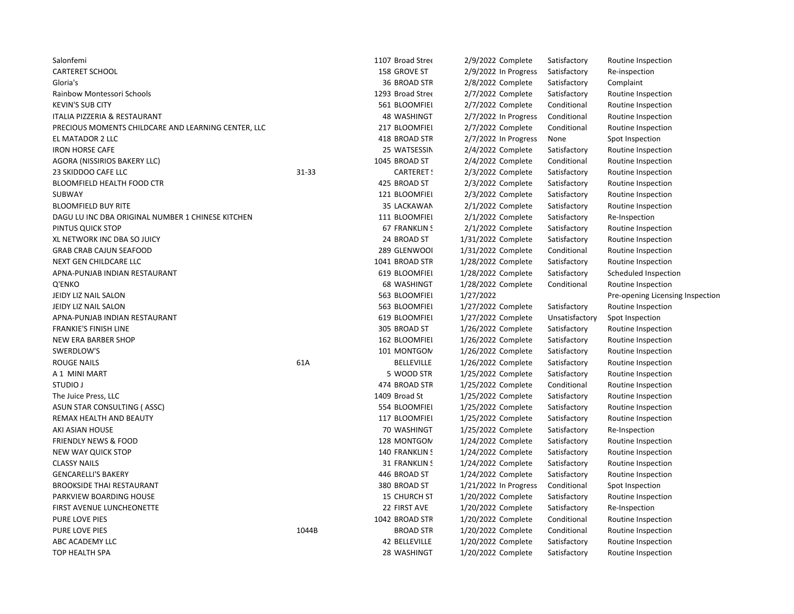| Salonfemi                                           |       | 1107 Broad Stree   | 2/9/2022 Complete       | Satisfactory   | Routine Inspection               |
|-----------------------------------------------------|-------|--------------------|-------------------------|----------------|----------------------------------|
| <b>CARTERET SCHOOL</b>                              |       | 158 GROVE ST       | 2/9/2022 In Progress    | Satisfactory   | Re-inspection                    |
| Gloria's                                            |       | 36 BROAD STR       | 2/8/2022 Complete       | Satisfactory   | Complaint                        |
| Rainbow Montessori Schools                          |       | 1293 Broad Stree   | 2/7/2022 Complete       | Satisfactory   | Routine Inspection               |
| <b>KEVIN'S SUB CITY</b>                             |       | 561 BLOOMFIEI      | 2/7/2022 Complete       | Conditional    | Routine Inspection               |
| ITALIA PIZZERIA & RESTAURANT                        |       | <b>48 WASHINGT</b> | 2/7/2022 In Progress    | Conditional    | Routine Inspection               |
| PRECIOUS MOMENTS CHILDCARE AND LEARNING CENTER, LLC |       | 217 BLOOMFIEI      | 2/7/2022 Complete       | Conditional    | Routine Inspection               |
| EL MATADOR 2 LLC                                    |       | 418 BROAD STF      | $2/7/2022$ In Progress  | None           | Spot Inspection                  |
| <b>IRON HORSE CAFE</b>                              |       | 25 WATSESSIN       | 2/4/2022 Complete       | Satisfactory   | Routine Inspection               |
| AGORA (NISSIRIOS BAKERY LLC)                        |       | 1045 BROAD ST      | 2/4/2022 Complete       | Conditional    | Routine Inspection               |
| 23 SKIDDOO CAFE LLC                                 | 31-33 | <b>CARTERET:</b>   | 2/3/2022 Complete       | Satisfactory   | Routine Inspection               |
| <b>BLOOMFIELD HEALTH FOOD CTR</b>                   |       | 425 BROAD ST       | 2/3/2022 Complete       | Satisfactory   | Routine Inspection               |
| <b>SUBWAY</b>                                       |       | 121 BLOOMFIEI      | 2/3/2022 Complete       | Satisfactory   | Routine Inspection               |
| <b>BLOOMFIELD BUY RITE</b>                          |       | 35 LACKAWAN        | 2/1/2022 Complete       | Satisfactory   | Routine Inspection               |
| DAGU LU INC DBA ORIGINAL NUMBER 1 CHINESE KITCHEN   |       | 111 BLOOMFIEI      | 2/1/2022 Complete       | Satisfactory   | Re-Inspection                    |
| PINTUS QUICK STOP                                   |       | 67 FRANKLIN !      | 2/1/2022 Complete       | Satisfactory   | Routine Inspection               |
| XL NETWORK INC DBA SO JUICY                         |       | 24 BROAD ST        | 1/31/2022 Complete      | Satisfactory   | Routine Inspection               |
| <b>GRAB CRAB CAJUN SEAFOOD</b>                      |       | 289 GLENWOOI       | 1/31/2022 Complete      | Conditional    | Routine Inspection               |
| NEXT GEN CHILDCARE LLC                              |       | 1041 BROAD STR     | 1/28/2022 Complete      | Satisfactory   | Routine Inspection               |
| APNA-PUNJAB INDIAN RESTAURANT                       |       | 619 BLOOMFIEI      | 1/28/2022 Complete      | Satisfactory   | Scheduled Inspection             |
| Q'ENKO                                              |       | 68 WASHINGT        | 1/28/2022 Complete      | Conditional    | Routine Inspection               |
| JEIDY LIZ NAIL SALON                                |       | 563 BLOOMFIEI      | 1/27/2022               |                | Pre-opening Licensing Inspection |
| JEIDY LIZ NAIL SALON                                |       | 563 BLOOMFIEI      | 1/27/2022 Complete      | Satisfactory   | Routine Inspection               |
| APNA-PUNJAB INDIAN RESTAURANT                       |       | 619 BLOOMFIEI      | 1/27/2022 Complete      | Unsatisfactory | Spot Inspection                  |
| <b>FRANKIE'S FINISH LINE</b>                        |       | 305 BROAD ST       | 1/26/2022 Complete      | Satisfactory   | Routine Inspection               |
| NEW ERA BARBER SHOP                                 |       | 162 BLOOMFIEI      | 1/26/2022 Complete      | Satisfactory   | Routine Inspection               |
| SWERDLOW'S                                          |       | 101 MONTGON        | 1/26/2022 Complete      | Satisfactory   | Routine Inspection               |
| <b>ROUGE NAILS</b>                                  | 61A   | <b>BELLEVILLE</b>  | 1/26/2022 Complete      | Satisfactory   | Routine Inspection               |
| A 1 MINI MART                                       |       | 5 WOOD STR         | 1/25/2022 Complete      | Satisfactory   | Routine Inspection               |
| <b>STUDIO J</b>                                     |       | 474 BROAD STF      | 1/25/2022 Complete      | Conditional    | Routine Inspection               |
| The Juice Press, LLC                                |       | 1409 Broad St      | 1/25/2022 Complete      | Satisfactory   | Routine Inspection               |
| ASUN STAR CONSULTING (ASSC)                         |       | 554 BLOOMFIEI      | 1/25/2022 Complete      | Satisfactory   | Routine Inspection               |
| REMAX HEALTH AND BEAUTY                             |       | 117 BLOOMFIEI      | 1/25/2022 Complete      | Satisfactory   | Routine Inspection               |
| AKI ASIAN HOUSE                                     |       | 70 WASHINGT        | 1/25/2022 Complete      | Satisfactory   | Re-Inspection                    |
| <b>FRIENDLY NEWS &amp; FOOD</b>                     |       | 128 MONTGON        | 1/24/2022 Complete      | Satisfactory   | Routine Inspection               |
| NEW WAY QUICK STOP                                  |       | 140 FRANKLIN !     | 1/24/2022 Complete      | Satisfactory   | Routine Inspection               |
| <b>CLASSY NAILS</b>                                 |       | 31 FRANKLIN !      | 1/24/2022 Complete      | Satisfactory   | Routine Inspection               |
| <b>GENCARELLI'S BAKERY</b>                          |       | 446 BROAD ST       | 1/24/2022 Complete      | Satisfactory   | Routine Inspection               |
| <b>BROOKSIDE THAI RESTAURANT</b>                    |       | 380 BROAD ST       | $1/21/2022$ In Progress | Conditional    | Spot Inspection                  |
| PARKVIEW BOARDING HOUSE                             |       | 15 CHURCH ST       | 1/20/2022 Complete      | Satisfactory   | Routine Inspection               |
| FIRST AVENUE LUNCHEONETTE                           |       | 22 FIRST AVE       | 1/20/2022 Complete      | Satisfactory   | Re-Inspection                    |
| PURE LOVE PIES                                      |       | 1042 BROAD STR     | 1/20/2022 Complete      | Conditional    | Routine Inspection               |
| PURE LOVE PIES                                      | 1044B | <b>BROAD STR</b>   | 1/20/2022 Complete      | Conditional    | Routine Inspection               |
| ABC ACADEMY LLC                                     |       | 42 BELLEVILLE      | 1/20/2022 Complete      | Satisfactory   | Routine Inspection               |
| <b>TOP HEALTH SPA</b>                               |       | 28 WASHINGT        | 1/20/2022 Complete      | Satisfactory   | Routine Inspection               |